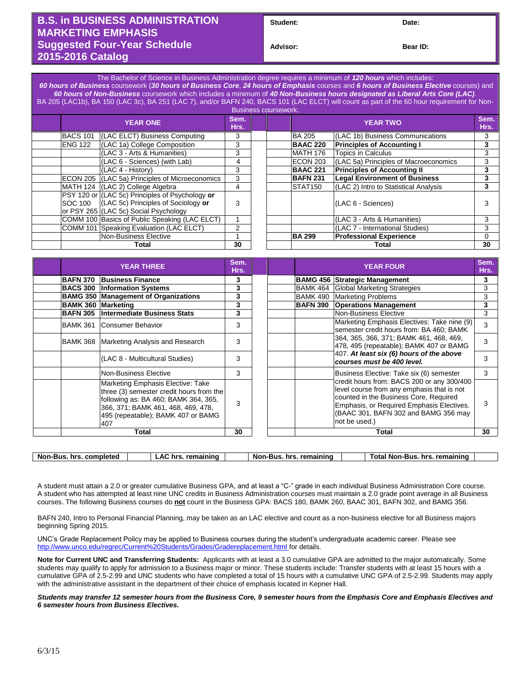## **B.S. in BUSINESS ADMINISTRATION MARKETING EMPHASIS Suggested Four-Year Schedule 2015-2016 Catalog**

**Student: Date:**

**Bear ID:** 

The Bachelor of Science in Business Administration degree requires a minimum of *120 hours* which includes: *60 hours of Business* coursework (*30 hours of Business Core*, *24 hours of Emphasis* courses and *6 hours of Business Elective* courses) and *60 hours of Non-Business* coursework which includes a minimum of *40 Non-Business hours designated as Liberal Arts Core (LAC)*. BA 205 (LAC1b), BA 150 (LAC 3c), BA 251 (LAC 7), and/or BAFN 240, BACS 101 (LAC ELCT) will count as part of the 60 hour requirement for Non-

|                 |  |                                                                                                                                                                                                                                                                                                                                                                                                                                                                                                  |              | <b>Business coursework.</b> |                                       |                                    |
|-----------------|--|--------------------------------------------------------------------------------------------------------------------------------------------------------------------------------------------------------------------------------------------------------------------------------------------------------------------------------------------------------------------------------------------------------------------------------------------------------------------------------------------------|--------------|-----------------------------|---------------------------------------|------------------------------------|
| <b>YEAR ONE</b> |  |                                                                                                                                                                                                                                                                                                                                                                                                                                                                                                  |              |                             | <b>YEAR TWO</b>                       | Sem.<br>Hrs.                       |
| <b>BACS 101</b> |  | 3                                                                                                                                                                                                                                                                                                                                                                                                                                                                                                |              | <b>BA 205</b>               | (LAC 1b) Business Communications      | 3                                  |
| <b>ENG 122</b>  |  | 3                                                                                                                                                                                                                                                                                                                                                                                                                                                                                                |              | <b>BAAC 220</b>             | <b>Principles of Accounting I</b>     | 3                                  |
|                 |  | 3                                                                                                                                                                                                                                                                                                                                                                                                                                                                                                |              | <b>MATH 176</b>             | <b>Topics in Calculus</b>             | 3                                  |
|                 |  | 4                                                                                                                                                                                                                                                                                                                                                                                                                                                                                                |              | ECON 203                    | (LAC 5a) Principles of Macroeconomics | 3                                  |
|                 |  | 3                                                                                                                                                                                                                                                                                                                                                                                                                                                                                                |              | <b>BAAC 221</b>             |                                       | 3                                  |
|                 |  | 3                                                                                                                                                                                                                                                                                                                                                                                                                                                                                                |              | <b>BAFN 231</b>             | <b>Legal Environment of Business</b>  | 3                                  |
|                 |  | 4                                                                                                                                                                                                                                                                                                                                                                                                                                                                                                |              | <b>STAT150</b>              | (LAC 2) Intro to Statistical Analysis | 3                                  |
| <b>SOC 100</b>  |  | 3                                                                                                                                                                                                                                                                                                                                                                                                                                                                                                |              |                             | (LAC 6 - Sciences)                    |                                    |
|                 |  |                                                                                                                                                                                                                                                                                                                                                                                                                                                                                                  |              |                             | (LAC 3 - Arts & Humanities)           | 3                                  |
|                 |  | 2                                                                                                                                                                                                                                                                                                                                                                                                                                                                                                |              |                             | (LAC 7 - International Studies)       | 3                                  |
|                 |  |                                                                                                                                                                                                                                                                                                                                                                                                                                                                                                  |              | <b>BA 299</b>               | <b>Professional Experience</b>        | 0                                  |
| Total           |  | 30                                                                                                                                                                                                                                                                                                                                                                                                                                                                                               |              |                             | <b>Total</b>                          | 30                                 |
|                 |  | (LAC ELCT) Business Computing<br>(LAC 1a) College Composition<br>(LAC 3 - Arts & Humanities)<br>(LAC 6 - Sciences) (with Lab)<br>(LAC 4 - History)<br>ECON 205 (LAC 5a) Principles of Microeconomics<br>MATH 124 (LAC 2) College Algebra<br>PSY 120 or (LAC 5c) Principles of Psychology or<br>(LAC 5c) Principles of Sociology or<br>or PSY 265 (LAC 5c) Social Psychology<br>COMM 100 Basics of Public Speaking (LAC ELCT)<br>COMM 101 Speaking Evaluation (LAC ELCT)<br>Non-Business Elective | Sem.<br>Hrs. |                             |                                       | <b>Principles of Accounting II</b> |

| <b>YEAR THREE</b>         |                                                                                                                                                                                                          | Sem.<br>Hrs. | <b>YEAR FOUR</b> |                                                                                                                                                                                                                                          | Sem.<br>Hrs. |
|---------------------------|----------------------------------------------------------------------------------------------------------------------------------------------------------------------------------------------------------|--------------|------------------|------------------------------------------------------------------------------------------------------------------------------------------------------------------------------------------------------------------------------------------|--------------|
| <b>BAFN 370</b>           | <b>Business Finance</b>                                                                                                                                                                                  | 3            |                  | <b>BAMG 456 Strategic Management</b>                                                                                                                                                                                                     | 3            |
| <b>BACS 300</b>           | <b>Information Systems</b>                                                                                                                                                                               | 3            |                  | <b>BAMK 464 Global Marketing Strategies</b>                                                                                                                                                                                              | 3            |
|                           | <b>BAMG 350 Management of Organizations</b>                                                                                                                                                              | 3            |                  | <b>BAMK 490 Marketing Problems</b>                                                                                                                                                                                                       | 3            |
| <b>BAMK 360 Marketing</b> |                                                                                                                                                                                                          | 3            | <b>BAFN 390</b>  | <b>Operations Management</b>                                                                                                                                                                                                             | 3            |
| <b>BAFN 305</b>           | Intermediate Business Stats                                                                                                                                                                              | 3            |                  | Non-Business Elective                                                                                                                                                                                                                    | 3            |
| <b>BAMK 361</b>           | Consumer Behavior                                                                                                                                                                                        | 3            |                  | Marketing Emphasis Electives: Take nine (9)<br>semester credit hours from: BA 460; BAMK                                                                                                                                                  | 3            |
| BAMK 368                  | Marketing Analysis and Research                                                                                                                                                                          | 3            |                  | 364, 365, 366, 371; BAMK 461, 468, 469,<br>478, 495 (repeatable); BAMK 407 or BAMG                                                                                                                                                       |              |
|                           | (LAC 8 - Multicultural Studies)                                                                                                                                                                          | 3            |                  | 407. At least six (6) hours of the above<br>courses must be 400 level.                                                                                                                                                                   |              |
|                           | Non-Business Elective                                                                                                                                                                                    | 3            |                  | Business Elective: Take six (6) semester                                                                                                                                                                                                 | 3            |
|                           | Marketing Emphasis Elective: Take<br>three (3) semester credit hours from the<br>following as: BA 460; BAMK 364, 365,<br>366, 371; BAMK 461, 468, 469, 478,<br>495 (repeatable); BAMK 407 or BAMG<br>407 | 3            |                  | credit hours from: BACS 200 or any 300/400<br>level course from any emphasis that is not<br>counted in the Business Core, Required<br>Emphasis, or Required Emphasis Electives.<br>(BAAC 301, BAFN 302 and BAMG 356 may<br>not be used.) | 3            |
| Total                     |                                                                                                                                                                                                          | 30           | Total            |                                                                                                                                                                                                                                          | 30           |

| <b>Non</b><br>. completed<br>hrs<br>Bus | remaining<br>hrs.<br>^'<br>–… | rema<br>aining<br>hrs<br>Bus<br>Nor | ™ota<br>remaining<br>hrs.<br>-Bus<br>Non- |  |
|-----------------------------------------|-------------------------------|-------------------------------------|-------------------------------------------|--|
|                                         |                               |                                     |                                           |  |

A student must attain a 2.0 or greater cumulative Business GPA, and at least a "C-" grade in each individual Business Administration Core course. A student who has attempted at least nine UNC credits in Business Administration courses must maintain a 2.0 grade point average in all Business courses. The following Business courses do **not** count in the Business GPA: BACS 180, BAMK 260, BAAC 301, BAFN 302, and BAMG 356.

BAFN 240, Intro to Personal Financial Planning, may be taken as an LAC elective and count as a non-business elective for all Business majors beginning Spring 2015.

UNC's Grade Replacement Policy may be applied to Business courses during the student's undergraduate academic career. Please see <http://www.unco.edu/regrec/Current%20Students/Grades/Gradereplacement.html> for details.

**Note for Current UNC and Transferring Students:** Applicants with at least a 3.0 cumulative GPA are admitted to the major automatically. Some students may qualify to apply for admission to a Business major or minor. These students include: Transfer students with at least 15 hours with a cumulative GPA of 2.5-2.99 and UNC students who have completed a total of 15 hours with a cumulative UNC GPA of 2.5-2.99. Students may apply with the administrative assistant in the department of their choice of emphasis located in Kepner Hall.

*Students may transfer 12 semester hours from the Business Core, 9 semester hours from the Emphasis Core and Emphasis Electives and 6 semester hours from Business Electives.*